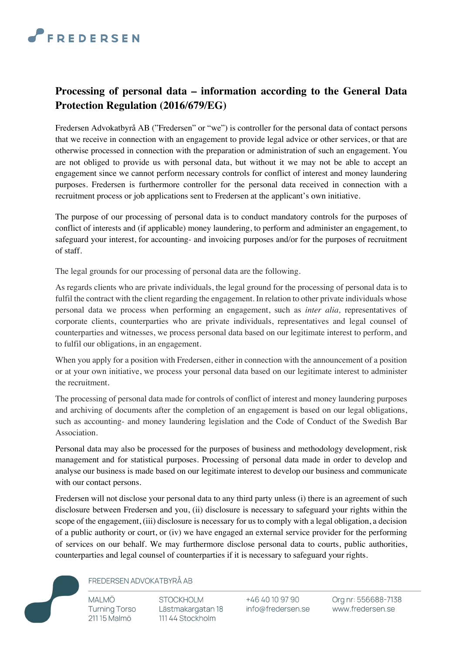## **FREDERSEN**

## **Processing of personal data – information according to the General Data Protection Regulation (2016/679/EG)**

Fredersen Advokatbyrå AB ("Fredersen" or "we") is controller for the personal data of contact persons that we receive in connection with an engagement to provide legal advice or other services, or that are otherwise processed in connection with the preparation or administration of such an engagement. You are not obliged to provide us with personal data, but without it we may not be able to accept an engagement since we cannot perform necessary controls for conflict of interest and money laundering purposes. Fredersen is furthermore controller for the personal data received in connection with a recruitment process or job applications sent to Fredersen at the applicant's own initiative.

The purpose of our processing of personal data is to conduct mandatory controls for the purposes of conflict of interests and (if applicable) money laundering, to perform and administer an engagement, to safeguard your interest, for accounting- and invoicing purposes and/or for the purposes of recruitment of staff.

The legal grounds for our processing of personal data are the following.

As regards clients who are private individuals, the legal ground for the processing of personal data is to fulfil the contract with the client regarding the engagement. In relation to other private individuals whose personal data we process when performing an engagement, such as *inter alia,* representatives of corporate clients, counterparties who are private individuals, representatives and legal counsel of counterparties and witnesses, we process personal data based on our legitimate interest to perform, and to fulfil our obligations, in an engagement.

When you apply for a position with Fredersen, either in connection with the announcement of a position or at your own initiative, we process your personal data based on our legitimate interest to administer the recruitment.

The processing of personal data made for controls of conflict of interest and money laundering purposes and archiving of documents after the completion of an engagement is based on our legal obligations, such as accounting- and money laundering legislation and the Code of Conduct of the Swedish Bar Association.

Personal data may also be processed for the purposes of business and methodology development, risk management and for statistical purposes. Processing of personal data made in order to develop and analyse our business is made based on our legitimate interest to develop our business and communicate with our contact persons.

Fredersen will not disclose your personal data to any third party unless (i) there is an agreement of such disclosure between Fredersen and you, (ii) disclosure is necessary to safeguard your rights within the scope of the engagement, (iii) disclosure is necessary for us to comply with a legal obligation, a decision of a public authority or court, or (iv) we have engaged an external service provider for the performing of services on our behalf. We may furthermore disclose personal data to courts, public authorities, counterparties and legal counsel of counterparties if it is necessary to safeguard your rights.



## FREDERSEN ADVOKATBYRÅ AB

**STOCKHOLM** Lästmakargatan 18 111 44 Stockholm

+46 40 10 97 90 info@fredersen.se Org nr: 556688-7138 www.fredersen.se